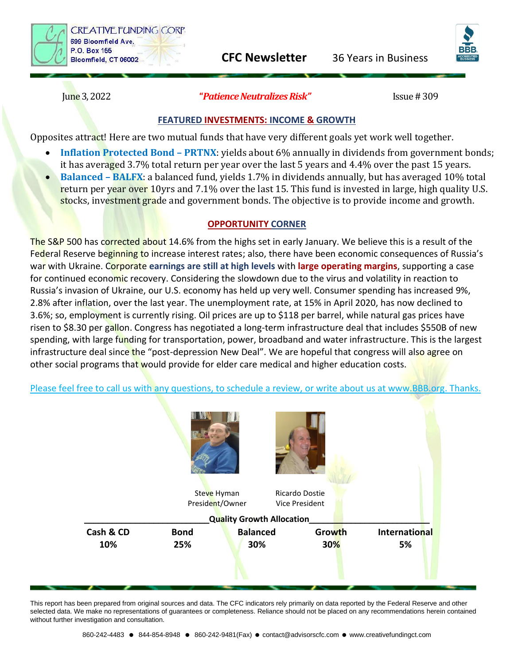

**CFC Newsletter** 36 Years in Business

June 3, 2022 **"***Patience Neutralizes Risk"* Issue # 309

## **FEATURED INVESTMENTS: INCOME & GROWTH**

Opposites attract! Here are two mutual funds that have very different goals yet work well together.

- **Inflation Protected Bond – PRTNX**: yields about 6% annually in dividends from government bonds;
- it has averaged 3.7% total return per year over the last 5 years and 4.4% over the past 15 years. • **Balanced – BALFX**: a balanced fund, yields 1.7% in dividends annually, but has averaged 10% total return per year over 10yrs and 7.1% over the last 15. This fund is invested in large, high quality U.S.
- stocks, investment grade and government bonds. The objective is to provide income and growth.

## **OPPORTUNITY CORNER**

The S&P 500 has corrected about 14.6% from the highs set in early January. We believe this is a result of the Federal Reserve beginning to increase interest rates; also, there have been economic consequences of Russia's war with Ukraine. Corporate **earnings are still at high levels** with **large operating margins**, supporting a case for continued economic recovery. Considering the slowdown due to the virus and volatility in reaction to Russia's invasion of Ukraine, our U.S. economy has held up very well. Consumer spending has increased 9%, 2.8% after inflation, over the last year. The unemployment rate, at 15% in April 2020, has now declined to 3.6%; so, employment is currently rising. Oil prices are up to \$118 per barrel, while natural gas prices have risen to \$8.30 per gallon. Congress has negotiated a long-term infrastructure deal that includes \$550B of new spending, with large funding for transportation, power, broadband and water infrastructure. This is the largest infrastructure deal since the "post-depression New Deal". We are hopeful that congress will also agree on other social programs that would provide for elder care medical and higher education costs.

Please feel free to call us with any questions, to schedule a review, or write about us at [www.BBB.org.](http://www.bbb.org/) Thanks.



This report has been prepared from original sources and data. The CFC indicators rely primarily on data reported by the Federal Reserve and other selected data. We make no representations of quarantees or completeness. Reliance should not be placed on any recommendations herein contained without further investigation and consultation.